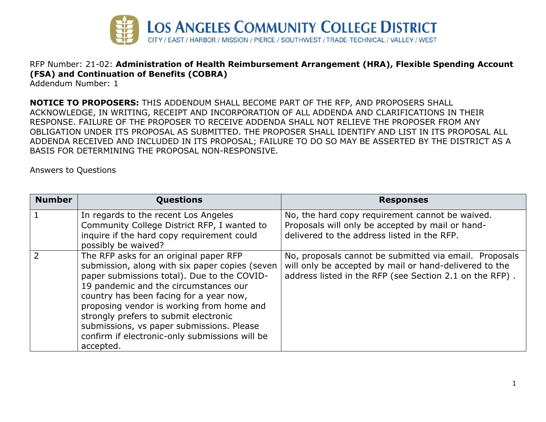

## RFP Number: 21-02: **Administration of Health Reimbursement Arrangement (HRA), Flexible Spending Account (FSA) and Continuation of Benefits (COBRA)**

Addendum Number: 1

**NOTICE TO PROPOSERS:** THIS ADDENDUM SHALL BECOME PART OF THE RFP, AND PROPOSERS SHALL ACKNOWLEDGE, IN WRITING, RECEIPT AND INCORPORATION OF ALL ADDENDA AND CLARIFICATIONS IN THEIR RESPONSE. FAILURE OF THE PROPOSER TO RECEIVE ADDENDA SHALL NOT RELIEVE THE PROPOSER FROM ANY OBLIGATION UNDER ITS PROPOSAL AS SUBMITTED. THE PROPOSER SHALL IDENTIFY AND LIST IN ITS PROPOSAL ALL ADDENDA RECEIVED AND INCLUDED IN ITS PROPOSAL; FAILURE TO DO SO MAY BE ASSERTED BY THE DISTRICT AS A BASIS FOR DETERMINING THE PROPOSAL NON-RESPONSIVE.

Answers to Questions

| <b>Number</b>  | <b>Questions</b>                                                                                                                                                                                                                                                                                                                                                                                                              | <b>Responses</b>                                                                                                                                                            |
|----------------|-------------------------------------------------------------------------------------------------------------------------------------------------------------------------------------------------------------------------------------------------------------------------------------------------------------------------------------------------------------------------------------------------------------------------------|-----------------------------------------------------------------------------------------------------------------------------------------------------------------------------|
| $\mathbf{1}$   | In regards to the recent Los Angeles<br>Community College District RFP, I wanted to<br>inquire if the hard copy requirement could<br>possibly be waived?                                                                                                                                                                                                                                                                      | No, the hard copy requirement cannot be waived.<br>Proposals will only be accepted by mail or hand-<br>delivered to the address listed in the RFP.                          |
| $\overline{2}$ | The RFP asks for an original paper RFP<br>submission, along with six paper copies (seven<br>paper submissions total). Due to the COVID-<br>19 pandemic and the circumstances our<br>country has been facing for a year now,<br>proposing vendor is working from home and<br>strongly prefers to submit electronic<br>submissions, vs paper submissions. Please<br>confirm if electronic-only submissions will be<br>accepted. | No, proposals cannot be submitted via email. Proposals<br>will only be accepted by mail or hand-delivered to the<br>address listed in the RFP (see Section 2.1 on the RFP). |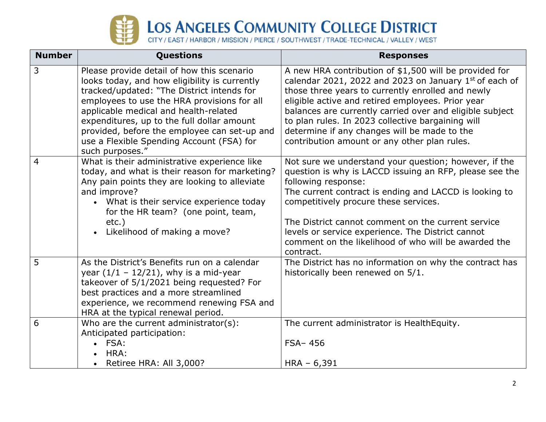

## LOS ANGELES COMMUNITY COLLEGE DISTRICT

| <b>Number</b>  | Questions                                                                                                                                                                                                                                                                                                                                                                                       | <b>Responses</b>                                                                                                                                                                                                                                                                                                                                                                                                                            |
|----------------|-------------------------------------------------------------------------------------------------------------------------------------------------------------------------------------------------------------------------------------------------------------------------------------------------------------------------------------------------------------------------------------------------|---------------------------------------------------------------------------------------------------------------------------------------------------------------------------------------------------------------------------------------------------------------------------------------------------------------------------------------------------------------------------------------------------------------------------------------------|
| $\overline{3}$ | Please provide detail of how this scenario<br>looks today, and how eligibility is currently<br>tracked/updated: "The District intends for<br>employees to use the HRA provisions for all<br>applicable medical and health-related<br>expenditures, up to the full dollar amount<br>provided, before the employee can set-up and<br>use a Flexible Spending Account (FSA) for<br>such purposes." | A new HRA contribution of \$1,500 will be provided for<br>calendar 2021, 2022 and 2023 on January 1st of each of<br>those three years to currently enrolled and newly<br>eligible active and retired employees. Prior year<br>balances are currently carried over and eligible subject<br>to plan rules. In 2023 collective bargaining will<br>determine if any changes will be made to the<br>contribution amount or any other plan rules. |
| 4              | What is their administrative experience like<br>today, and what is their reason for marketing?<br>Any pain points they are looking to alleviate<br>and improve?<br>• What is their service experience today<br>for the HR team? (one point, team,<br>$etc.$ )<br>Likelihood of making a move?                                                                                                   | Not sure we understand your question; however, if the<br>question is why is LACCD issuing an RFP, please see the<br>following response:<br>The current contract is ending and LACCD is looking to<br>competitively procure these services.<br>The District cannot comment on the current service<br>levels or service experience. The District cannot<br>comment on the likelihood of who will be awarded the<br>contract.                  |
| 5              | As the District's Benefits run on a calendar<br>year $(1/1 - 12/21)$ , why is a mid-year<br>takeover of 5/1/2021 being requested? For<br>best practices and a more streamlined<br>experience, we recommend renewing FSA and<br>HRA at the typical renewal period.                                                                                                                               | The District has no information on why the contract has<br>historically been renewed on 5/1.                                                                                                                                                                                                                                                                                                                                                |
| 6              | Who are the current administrator $(s)$ :<br>Anticipated participation:<br>$\cdot$ FSA:<br>HRA:<br>Retiree HRA: All 3,000?                                                                                                                                                                                                                                                                      | The current administrator is HealthEquity.<br>$FSA - 456$<br>$HRA - 6,391$                                                                                                                                                                                                                                                                                                                                                                  |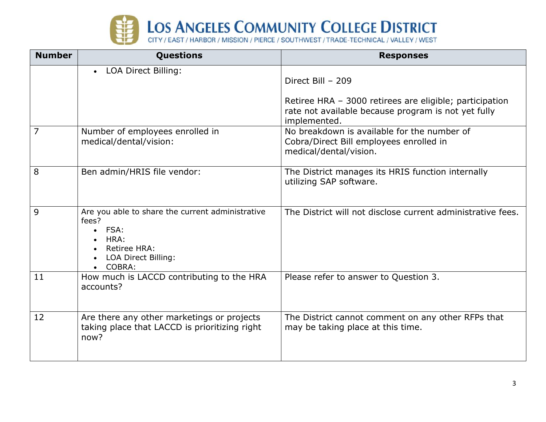

| <b>Number</b> | Questions                                                                                                                              | <b>Responses</b>                                                                                                               |
|---------------|----------------------------------------------------------------------------------------------------------------------------------------|--------------------------------------------------------------------------------------------------------------------------------|
|               | • LOA Direct Billing:                                                                                                                  | Direct Bill - 209                                                                                                              |
|               |                                                                                                                                        | Retiree HRA - 3000 retirees are eligible; participation<br>rate not available because program is not yet fully<br>implemented. |
| 7             | Number of employees enrolled in<br>medical/dental/vision:                                                                              | No breakdown is available for the number of<br>Cobra/Direct Bill employees enrolled in<br>medical/dental/vision.               |
| 8             | Ben admin/HRIS file vendor:                                                                                                            | The District manages its HRIS function internally<br>utilizing SAP software.                                                   |
| 9             | Are you able to share the current administrative<br>fees?<br>$\bullet$ FSA:<br>HRA:<br>Retiree HRA:<br>LOA Direct Billing:<br>• COBRA: | The District will not disclose current administrative fees.                                                                    |
| 11            | How much is LACCD contributing to the HRA<br>accounts?                                                                                 | Please refer to answer to Question 3.                                                                                          |
| 12            | Are there any other marketings or projects<br>taking place that LACCD is prioritizing right<br>now?                                    | The District cannot comment on any other RFPs that<br>may be taking place at this time.                                        |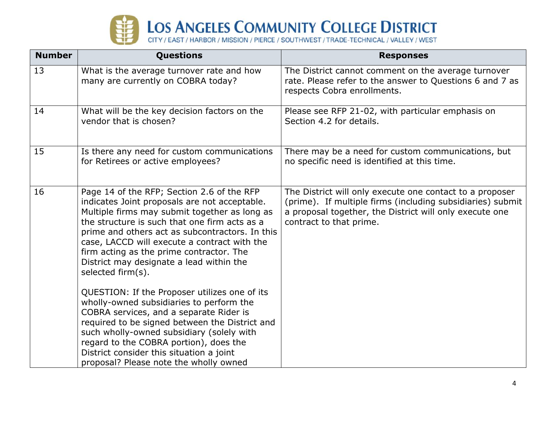

| <b>Number</b> | Questions                                                                                                                                                                                                                                                                                                                                                                                                     | <b>Responses</b>                                                                                                                                                                                             |
|---------------|---------------------------------------------------------------------------------------------------------------------------------------------------------------------------------------------------------------------------------------------------------------------------------------------------------------------------------------------------------------------------------------------------------------|--------------------------------------------------------------------------------------------------------------------------------------------------------------------------------------------------------------|
| 13            | What is the average turnover rate and how<br>many are currently on COBRA today?                                                                                                                                                                                                                                                                                                                               | The District cannot comment on the average turnover<br>rate. Please refer to the answer to Questions 6 and 7 as<br>respects Cobra enrollments.                                                               |
| 14            | What will be the key decision factors on the<br>vendor that is chosen?                                                                                                                                                                                                                                                                                                                                        | Please see RFP 21-02, with particular emphasis on<br>Section 4.2 for details.                                                                                                                                |
| 15            | Is there any need for custom communications<br>for Retirees or active employees?                                                                                                                                                                                                                                                                                                                              | There may be a need for custom communications, but<br>no specific need is identified at this time.                                                                                                           |
| 16            | Page 14 of the RFP; Section 2.6 of the RFP<br>indicates Joint proposals are not acceptable.<br>Multiple firms may submit together as long as<br>the structure is such that one firm acts as a<br>prime and others act as subcontractors. In this<br>case, LACCD will execute a contract with the<br>firm acting as the prime contractor. The<br>District may designate a lead within the<br>selected firm(s). | The District will only execute one contact to a proposer<br>(prime). If multiple firms (including subsidiaries) submit<br>a proposal together, the District will only execute one<br>contract to that prime. |
|               | QUESTION: If the Proposer utilizes one of its<br>wholly-owned subsidiaries to perform the<br>COBRA services, and a separate Rider is<br>required to be signed between the District and<br>such wholly-owned subsidiary (solely with<br>regard to the COBRA portion), does the<br>District consider this situation a joint<br>proposal? Please note the wholly owned                                           |                                                                                                                                                                                                              |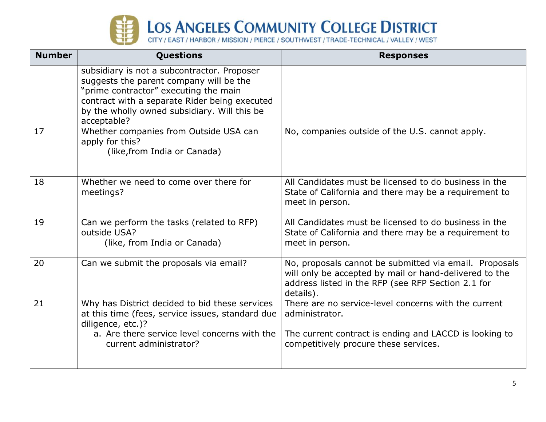

| <b>Number</b> | <b>Questions</b>                                                                                                                                                                                                                                | <b>Responses</b>                                                                                                                                                                    |
|---------------|-------------------------------------------------------------------------------------------------------------------------------------------------------------------------------------------------------------------------------------------------|-------------------------------------------------------------------------------------------------------------------------------------------------------------------------------------|
|               | subsidiary is not a subcontractor. Proposer<br>suggests the parent company will be the<br>"prime contractor" executing the main<br>contract with a separate Rider being executed<br>by the wholly owned subsidiary. Will this be<br>acceptable? |                                                                                                                                                                                     |
| 17            | Whether companies from Outside USA can<br>apply for this?<br>(like, from India or Canada)                                                                                                                                                       | No, companies outside of the U.S. cannot apply.                                                                                                                                     |
| 18            | Whether we need to come over there for<br>meetings?                                                                                                                                                                                             | All Candidates must be licensed to do business in the<br>State of California and there may be a requirement to<br>meet in person.                                                   |
| 19            | Can we perform the tasks (related to RFP)<br>outside USA?<br>(like, from India or Canada)                                                                                                                                                       | All Candidates must be licensed to do business in the<br>State of California and there may be a requirement to<br>meet in person.                                                   |
| 20            | Can we submit the proposals via email?                                                                                                                                                                                                          | No, proposals cannot be submitted via email. Proposals<br>will only be accepted by mail or hand-delivered to the<br>address listed in the RFP (see RFP Section 2.1 for<br>details). |
| 21            | Why has District decided to bid these services<br>at this time (fees, service issues, standard due<br>diligence, etc.)?<br>a. Are there service level concerns with the<br>current administrator?                                               | There are no service-level concerns with the current<br>administrator.<br>The current contract is ending and LACCD is looking to<br>competitively procure these services.           |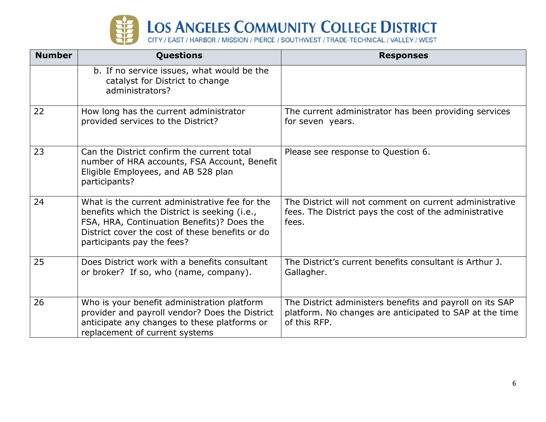

| <b>Number</b> | <b>Questions</b>                                                                                                                                                                                                               | <b>Responses</b>                                                                                                                    |
|---------------|--------------------------------------------------------------------------------------------------------------------------------------------------------------------------------------------------------------------------------|-------------------------------------------------------------------------------------------------------------------------------------|
|               | b. If no service issues, what would be the<br>catalyst for District to change<br>administrators?                                                                                                                               |                                                                                                                                     |
| 22            | How long has the current administrator<br>provided services to the District?                                                                                                                                                   | The current administrator has been providing services<br>for seven years.                                                           |
| 23            | Can the District confirm the current total<br>number of HRA accounts, FSA Account, Benefit<br>Eligible Employees, and AB 528 plan<br>participants?                                                                             | Please see response to Question 6.                                                                                                  |
| 24            | What is the current administrative fee for the<br>benefits which the District is seeking (i.e.,<br>FSA, HRA, Continuation Benefits)? Does the<br>District cover the cost of these benefits or do<br>participants pay the fees? | The District will not comment on current administrative<br>fees. The District pays the cost of the administrative<br>fees.          |
| 25            | Does District work with a benefits consultant<br>or broker? If so, who (name, company).                                                                                                                                        | The District's current benefits consultant is Arthur J.<br>Gallagher.                                                               |
| 26            | Who is your benefit administration platform<br>provider and payroll vendor? Does the District<br>anticipate any changes to these platforms or<br>replacement of current systems                                                | The District administers benefits and payroll on its SAP<br>platform. No changes are anticipated to SAP at the time<br>of this RFP. |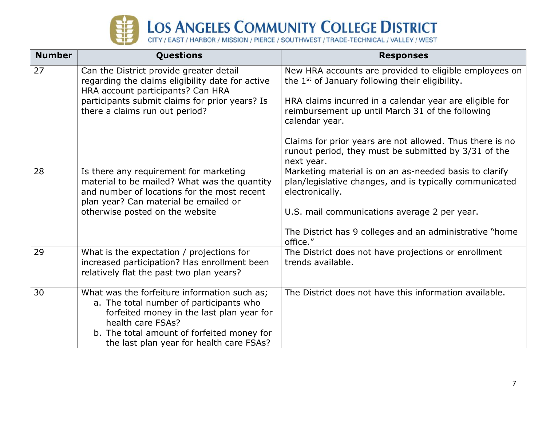

| <b>Number</b> | <b>Questions</b>                                                                                                                                                               | <b>Responses</b>                                                                                                                     |
|---------------|--------------------------------------------------------------------------------------------------------------------------------------------------------------------------------|--------------------------------------------------------------------------------------------------------------------------------------|
| 27            | Can the District provide greater detail<br>regarding the claims eligibility date for active<br>HRA account participants? Can HRA                                               | New HRA accounts are provided to eligible employees on<br>the 1 <sup>st</sup> of January following their eligibility.                |
|               | participants submit claims for prior years? Is<br>there a claims run out period?                                                                                               | HRA claims incurred in a calendar year are eligible for<br>reimbursement up until March 31 of the following<br>calendar year.        |
|               |                                                                                                                                                                                | Claims for prior years are not allowed. Thus there is no<br>runout period, they must be submitted by 3/31 of the<br>next year.       |
| 28            | Is there any requirement for marketing<br>material to be mailed? What was the quantity<br>and number of locations for the most recent<br>plan year? Can material be emailed or | Marketing material is on an as-needed basis to clarify<br>plan/legislative changes, and is typically communicated<br>electronically. |
|               | otherwise posted on the website                                                                                                                                                | U.S. mail communications average 2 per year.                                                                                         |
|               |                                                                                                                                                                                | The District has 9 colleges and an administrative "home<br>office."                                                                  |
| 29            | What is the expectation / projections for<br>increased participation? Has enrollment been<br>relatively flat the past two plan years?                                          | The District does not have projections or enrollment<br>trends available.                                                            |
| 30            | What was the forfeiture information such as;<br>a. The total number of participants who<br>forfeited money in the last plan year for<br>health care FSAs?                      | The District does not have this information available.                                                                               |
|               | b. The total amount of forfeited money for<br>the last plan year for health care FSAs?                                                                                         |                                                                                                                                      |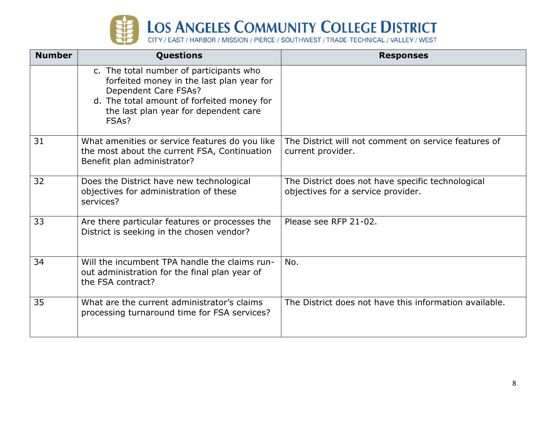

| <b>Number</b> | <b>Questions</b>                                                                                                                                                                                                          | <b>Responses</b>                                                                        |
|---------------|---------------------------------------------------------------------------------------------------------------------------------------------------------------------------------------------------------------------------|-----------------------------------------------------------------------------------------|
|               | c. The total number of participants who<br>forfeited money in the last plan year for<br>Dependent Care FSAs?<br>d. The total amount of forfeited money for<br>the last plan year for dependent care<br>FSA <sub>s</sub> ? |                                                                                         |
| 31            | What amenities or service features do you like<br>the most about the current FSA, Continuation<br>Benefit plan administrator?                                                                                             | The District will not comment on service features of<br>current provider.               |
| 32            | Does the District have new technological<br>objectives for administration of these<br>services?                                                                                                                           | The District does not have specific technological<br>objectives for a service provider. |
| 33            | Are there particular features or processes the<br>District is seeking in the chosen vendor?                                                                                                                               | Please see RFP 21-02.                                                                   |
| 34            | Will the incumbent TPA handle the claims run-<br>out administration for the final plan year of<br>the FSA contract?                                                                                                       | No.                                                                                     |
| 35            | What are the current administrator's claims<br>processing turnaround time for FSA services?                                                                                                                               | The District does not have this information available.                                  |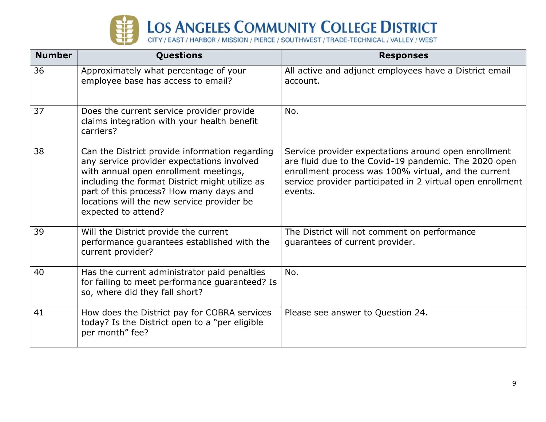

| <b>Number</b> | Questions                                                                                                                                                                                                                                                                                               | <b>Responses</b>                                                                                                                                                                                                                               |
|---------------|---------------------------------------------------------------------------------------------------------------------------------------------------------------------------------------------------------------------------------------------------------------------------------------------------------|------------------------------------------------------------------------------------------------------------------------------------------------------------------------------------------------------------------------------------------------|
| 36            | Approximately what percentage of your<br>employee base has access to email?                                                                                                                                                                                                                             | All active and adjunct employees have a District email<br>account.                                                                                                                                                                             |
| 37            | Does the current service provider provide<br>claims integration with your health benefit<br>carriers?                                                                                                                                                                                                   | No.                                                                                                                                                                                                                                            |
| 38            | Can the District provide information regarding<br>any service provider expectations involved<br>with annual open enrollment meetings,<br>including the format District might utilize as<br>part of this process? How many days and<br>locations will the new service provider be<br>expected to attend? | Service provider expectations around open enrollment<br>are fluid due to the Covid-19 pandemic. The 2020 open<br>enrollment process was 100% virtual, and the current<br>service provider participated in 2 virtual open enrollment<br>events. |
| 39            | Will the District provide the current<br>performance guarantees established with the<br>current provider?                                                                                                                                                                                               | The District will not comment on performance<br>guarantees of current provider.                                                                                                                                                                |
| 40            | Has the current administrator paid penalties<br>for failing to meet performance guaranteed? Is<br>so, where did they fall short?                                                                                                                                                                        | No.                                                                                                                                                                                                                                            |
| 41            | How does the District pay for COBRA services<br>today? Is the District open to a "per eligible<br>per month" fee?                                                                                                                                                                                       | Please see answer to Question 24.                                                                                                                                                                                                              |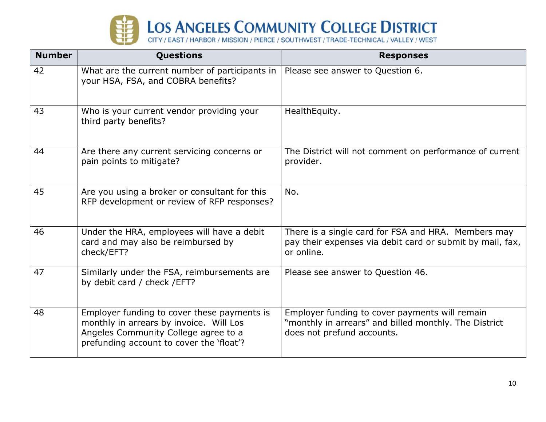

| <b>Number</b> | <b>Questions</b>                                                                                                                                                           | <b>Responses</b>                                                                                                                      |
|---------------|----------------------------------------------------------------------------------------------------------------------------------------------------------------------------|---------------------------------------------------------------------------------------------------------------------------------------|
| 42            | What are the current number of participants in $ $<br>your HSA, FSA, and COBRA benefits?                                                                                   | Please see answer to Question 6.                                                                                                      |
| 43            | Who is your current vendor providing your<br>third party benefits?                                                                                                         | Health Equity.                                                                                                                        |
| 44            | Are there any current servicing concerns or<br>pain points to mitigate?                                                                                                    | The District will not comment on performance of current<br>provider.                                                                  |
| 45            | Are you using a broker or consultant for this<br>RFP development or review of RFP responses?                                                                               | No.                                                                                                                                   |
| 46            | Under the HRA, employees will have a debit<br>card and may also be reimbursed by<br>check/EFT?                                                                             | There is a single card for FSA and HRA. Members may<br>pay their expenses via debit card or submit by mail, fax,<br>or online.        |
| 47            | Similarly under the FSA, reimbursements are<br>by debit card / check / EFT?                                                                                                | Please see answer to Question 46.                                                                                                     |
| 48            | Employer funding to cover these payments is<br>monthly in arrears by invoice. Will Los<br>Angeles Community College agree to a<br>prefunding account to cover the 'float'? | Employer funding to cover payments will remain<br>"monthly in arrears" and billed monthly. The District<br>does not prefund accounts. |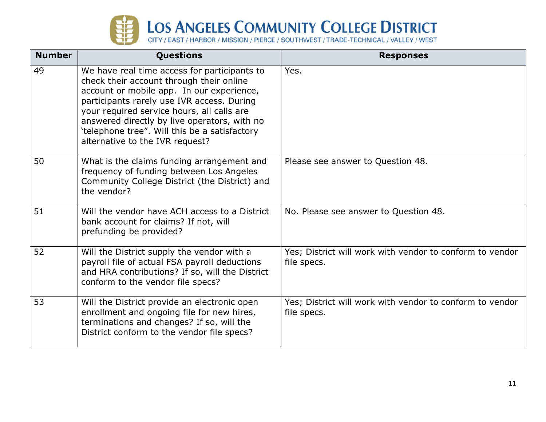

| <b>Number</b> | <b>Questions</b>                                                                                                                                                                                                                                                                                                                                                      | <b>Responses</b>                                                        |
|---------------|-----------------------------------------------------------------------------------------------------------------------------------------------------------------------------------------------------------------------------------------------------------------------------------------------------------------------------------------------------------------------|-------------------------------------------------------------------------|
| 49            | We have real time access for participants to<br>check their account through their online<br>account or mobile app. In our experience,<br>participants rarely use IVR access. During<br>your required service hours, all calls are<br>answered directly by live operators, with no<br>'telephone tree". Will this be a satisfactory<br>alternative to the IVR request? | Yes.                                                                    |
| 50            | What is the claims funding arrangement and<br>frequency of funding between Los Angeles<br>Community College District (the District) and<br>the vendor?                                                                                                                                                                                                                | Please see answer to Question 48.                                       |
| 51            | Will the vendor have ACH access to a District<br>bank account for claims? If not, will<br>prefunding be provided?                                                                                                                                                                                                                                                     | No. Please see answer to Question 48.                                   |
| 52            | Will the District supply the vendor with a<br>payroll file of actual FSA payroll deductions<br>and HRA contributions? If so, will the District<br>conform to the vendor file specs?                                                                                                                                                                                   | Yes; District will work with vendor to conform to vendor<br>file specs. |
| 53            | Will the District provide an electronic open<br>enrollment and ongoing file for new hires,<br>terminations and changes? If so, will the<br>District conform to the vendor file specs?                                                                                                                                                                                 | Yes; District will work with vendor to conform to vendor<br>file specs. |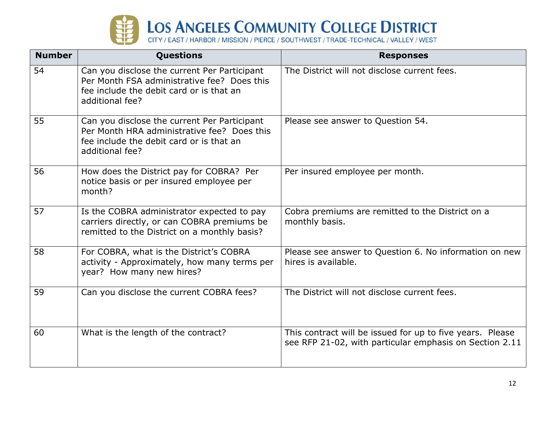

| <b>Number</b> | Questions                                                                                                                                                  | <b>Responses</b>                                                                                                     |
|---------------|------------------------------------------------------------------------------------------------------------------------------------------------------------|----------------------------------------------------------------------------------------------------------------------|
| 54            | Can you disclose the current Per Participant<br>Per Month FSA administrative fee? Does this<br>fee include the debit card or is that an<br>additional fee? | The District will not disclose current fees.                                                                         |
| 55            | Can you disclose the current Per Participant<br>Per Month HRA administrative fee? Does this<br>fee include the debit card or is that an<br>additional fee? | Please see answer to Question 54.                                                                                    |
| 56            | How does the District pay for COBRA? Per<br>notice basis or per insured employee per<br>month?                                                             | Per insured employee per month.                                                                                      |
| 57            | Is the COBRA administrator expected to pay<br>carriers directly, or can COBRA premiums be<br>remitted to the District on a monthly basis?                  | Cobra premiums are remitted to the District on a<br>monthly basis.                                                   |
| 58            | For COBRA, what is the District's COBRA<br>activity - Approximately, how many terms per<br>year? How many new hires?                                       | Please see answer to Question 6. No information on new<br>hires is available.                                        |
| 59            | Can you disclose the current COBRA fees?                                                                                                                   | The District will not disclose current fees.                                                                         |
| 60            | What is the length of the contract?                                                                                                                        | This contract will be issued for up to five years. Please<br>see RFP 21-02, with particular emphasis on Section 2.11 |